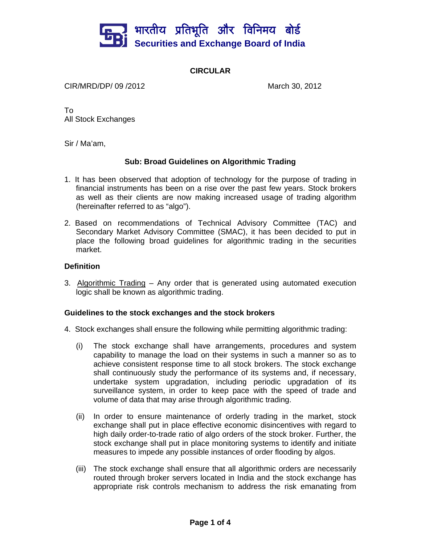

## **CIRCULAR**

CIR/MRD/DP/ 09 /2012 March 30, 2012

To All Stock Exchanges

Sir / Ma'am,

## **Sub: Broad Guidelines on Algorithmic Trading**

- 1. It has been observed that adoption of technology for the purpose of trading in financial instruments has been on a rise over the past few years. Stock brokers as well as their clients are now making increased usage of trading algorithm (hereinafter referred to as "algo").
- 2. Based on recommendations of Technical Advisory Committee (TAC) and Secondary Market Advisory Committee (SMAC), it has been decided to put in place the following broad guidelines for algorithmic trading in the securities market.

## **Definition**

3. Algorithmic Trading – Any order that is generated using automated execution logic shall be known as algorithmic trading.

## **Guidelines to the stock exchanges and the stock brokers**

- 4. Stock exchanges shall ensure the following while permitting algorithmic trading:
	- (i) The stock exchange shall have arrangements, procedures and system capability to manage the load on their systems in such a manner so as to achieve consistent response time to all stock brokers. The stock exchange shall continuously study the performance of its systems and, if necessary, undertake system upgradation, including periodic upgradation of its surveillance system, in order to keep pace with the speed of trade and volume of data that may arise through algorithmic trading.
	- (ii) In order to ensure maintenance of orderly trading in the market, stock exchange shall put in place effective economic disincentives with regard to high daily order-to-trade ratio of algo orders of the stock broker. Further, the stock exchange shall put in place monitoring systems to identify and initiate measures to impede any possible instances of order flooding by algos.
	- (iii) The stock exchange shall ensure that all algorithmic orders are necessarily routed through broker servers located in India and the stock exchange has appropriate risk controls mechanism to address the risk emanating from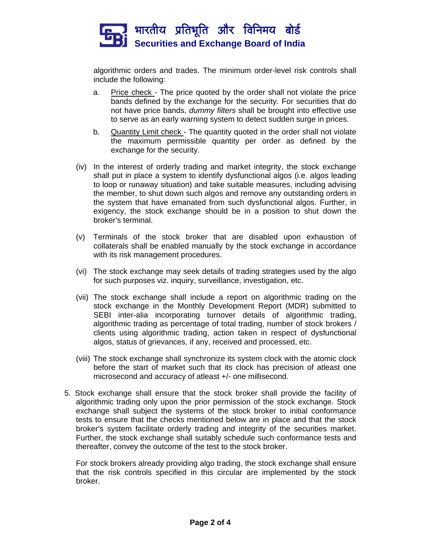

algorithmic orders and trades. The minimum order-level risk controls shall include the following:

- a. Price check The price quoted by the order shall not violate the price bands defined by the exchange for the security. For securities that do not have price bands, *dummy filters* shall be brought into effective use to serve as an early warning system to detect sudden surge in prices.
- b. Quantity Limit check The quantity quoted in the order shall not violate the maximum permissible quantity per order as defined by the exchange for the security.
- (iv) In the interest of orderly trading and market integrity, the stock exchange shall put in place a system to identify dysfunctional algos (i.e. algos leading to loop or runaway situation) and take suitable measures, including advising the member, to shut down such algos and remove any outstanding orders in the system that have emanated from such dysfunctional algos. Further, in exigency, the stock exchange should be in a position to shut down the broker's terminal.
- (v) Terminals of the stock broker that are disabled upon exhaustion of collaterals shall be enabled manually by the stock exchange in accordance with its risk management procedures.
- (vi) The stock exchange may seek details of trading strategies used by the algo for such purposes viz. inquiry, surveillance, investigation, etc.
- (vii) The stock exchange shall include a report on algorithmic trading on the stock exchange in the Monthly Development Report (MDR) submitted to SEBI inter-alia incorporating turnover details of algorithmic trading, algorithmic trading as percentage of total trading, number of stock brokers / clients using algorithmic trading, action taken in respect of dysfunctional algos, status of grievances, if any, received and processed, etc.
- (viii) The stock exchange shall synchronize its system clock with the atomic clock before the start of market such that its clock has precision of atleast one microsecond and accuracy of atleast +/- one millisecond.
- 5. Stock exchange shall ensure that the stock broker shall provide the facility of algorithmic trading only upon the prior permission of the stock exchange. Stock exchange shall subject the systems of the stock broker to initial conformance tests to ensure that the checks mentioned below are in place and that the stock broker's system facilitate orderly trading and integrity of the securities market. Further, the stock exchange shall suitably schedule such conformance tests and thereafter, convey the outcome of the test to the stock broker.

For stock brokers already providing algo trading, the stock exchange shall ensure that the risk controls specified in this circular are implemented by the stock broker.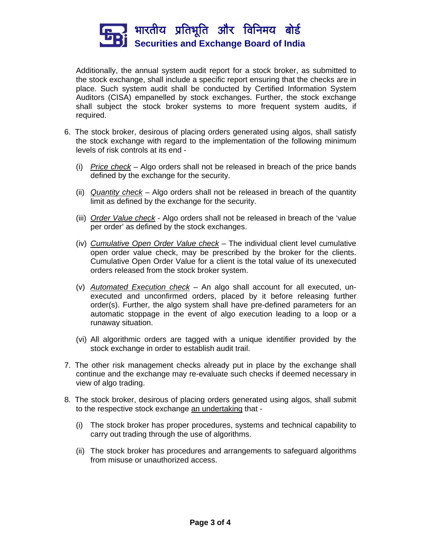

Additionally, the annual system audit report for a stock broker, as submitted to the stock exchange, shall include a specific report ensuring that the checks are in place. Such system audit shall be conducted by Certified Information System Auditors (CISA) empanelled by stock exchanges. Further, the stock exchange shall subject the stock broker systems to more frequent system audits, if required.

- 6. The stock broker, desirous of placing orders generated using algos, shall satisfy the stock exchange with regard to the implementation of the following minimum levels of risk controls at its end -
	- (i) *Price check* Algo orders shall not be released in breach of the price bands defined by the exchange for the security.
	- (ii) *Quantity check* Algo orders shall not be released in breach of the quantity limit as defined by the exchange for the security.
	- (iii) *Order Value check* Algo orders shall not be released in breach of the 'value per order' as defined by the stock exchanges.
	- (iv) *Cumulative Open Order Value check* The individual client level cumulative open order value check, may be prescribed by the broker for the clients. Cumulative Open Order Value for a client is the total value of its unexecuted orders released from the stock broker system.
	- (v) *Automated Execution check* An algo shall account for all executed, unexecuted and unconfirmed orders, placed by it before releasing further order(s). Further, the algo system shall have pre-defined parameters for an automatic stoppage in the event of algo execution leading to a loop or a runaway situation.
	- (vi) All algorithmic orders are tagged with a unique identifier provided by the stock exchange in order to establish audit trail.
- 7. The other risk management checks already put in place by the exchange shall continue and the exchange may re-evaluate such checks if deemed necessary in view of algo trading.
- 8. The stock broker, desirous of placing orders generated using algos, shall submit to the respective stock exchange an undertaking that -
	- (i) The stock broker has proper procedures, systems and technical capability to carry out trading through the use of algorithms.
	- (ii) The stock broker has procedures and arrangements to safeguard algorithms from misuse or unauthorized access.